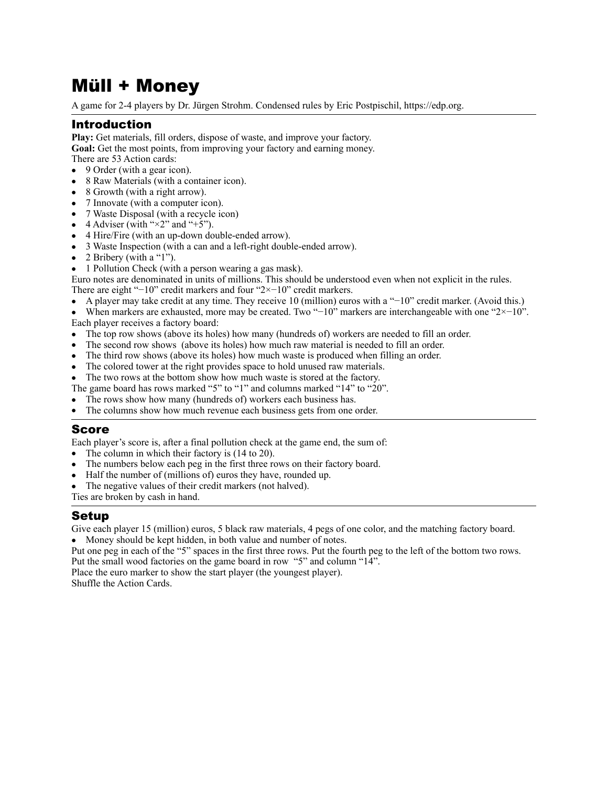# Müll + Money

A game for 2-4 players by Dr. Jürgen Strohm. Condensed rules by Eric Postpischil, [https://edp.org.](https://edp.org)

# Introduction

**Play:** Get materials, fill orders, dispose of waste, and improve your factory.

**Goal:** Get the most points, from improving your factory and earning money.

- There are 53 Action cards: • 9 Order (with a gear icon).
- 8 Raw Materials (with a container icon).
- 8 Growth (with a right arrow).
- 7 Innovate (with a computer icon).
- 7 Waste Disposal (with a recycle icon)
- 4 Adviser (with " $\times$ 2" and "+5").
- 4 Hire/Fire (with an up-down double-ended arrow).
- 3 Waste Inspection (with a can and a left-right double-ended arrow).
- 2 Bribery (with a "1").
- 1 Pollution Check (with a person wearing a gas mask).

Euro notes are denominated in units of millions. This should be understood even when not explicit in the rules.

- There are eight "−10" credit markers and four "2×−10" credit markers.
- A player may take credit at any time. They receive 10 (million) euros with a "−10" credit marker. (Avoid this.)
- When markers are exhausted, more may be created. Two "−10" markers are interchangeable with one "2×−10". Each player receives a factory board:
- The top row shows (above its holes) how many (hundreds of) workers are needed to fill an order.
- The second row shows (above its holes) how much raw material is needed to fill an order.
- The third row shows (above its holes) how much waste is produced when filling an order.
- The colored tower at the right provides space to hold unused raw materials.

The two rows at the bottom show how much waste is stored at the factory.

- The game board has rows marked "5" to "1" and columns marked "14" to "20".
- The rows show how many (hundreds of) workers each business has.
- The columns show how much revenue each business gets from one order.

## Score

Each player's score is, after a final pollution check at the game end, the sum of:

- The column in which their factory is (14 to 20).
- The numbers below each peg in the first three rows on their factory board.
- Half the number of (millions of) euros they have, rounded up.
- The negative values of their credit markers (not halved).

Ties are broken by cash in hand.

# Setup

Give each player 15 (million) euros, 5 black raw materials, 4 pegs of one color, and the matching factory board. • Money should be kept hidden, in both value and number of notes.

Put one peg in each of the "5" spaces in the first three rows. Put the fourth peg to the left of the bottom two rows. Put the small wood factories on the game board in row "5" and column "14".

Place the euro marker to show the start player (the youngest player). Shuffle the Action Cards.